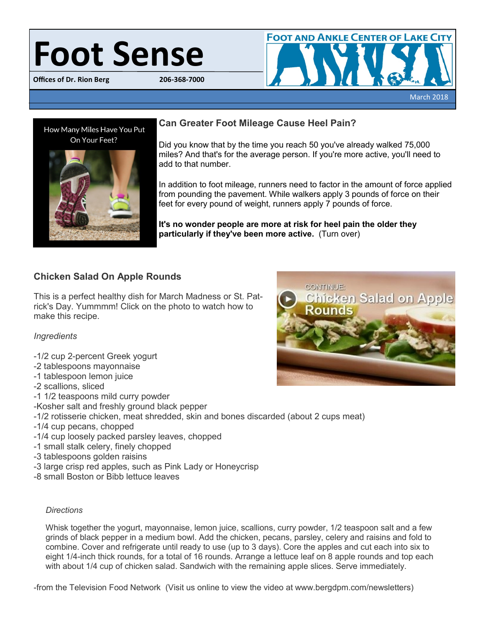# Foot Sense

**Offices of Dr. Rion Berg** 





# **Can Greater Foot Mileage Cause Heel Pain?**

Did you know that by the time you reach 50 you've already walked 75,000 miles? And that's for the average person. If you're more active, you'll need to add to that number.

In addition to foot mileage, runners need to factor in the amount of force applied from pounding the pavement. While walkers apply 3 pounds of force on their feet for every pound of weight, runners apply 7 pounds of force.

**It's no wonder people are more at risk for heel pain the older they particularly if they've been more active.** (Turn over)

# **Chicken Salad On Apple Rounds**

This is a perfect healthy dish for March Madness or St. Patrick's Day. Yummmm! Click on the photo to watch how to make this recipe.

## *Ingredients*

- -1/2 cup 2-percent Greek yogurt
- -2 tablespoons mayonnaise
- -1 tablespoon lemon juice
- -2 scallions, sliced
- -1 1/2 teaspoons mild curry powder
- -Kosher salt and freshly ground black pepper
- -1/2 rotisserie chicken, meat shredded, skin and bones discarded (about 2 cups meat)
- -1/4 cup pecans, chopped
- -1/4 cup loosely packed parsley leaves, chopped
- -1 small stalk celery, finely chopped
- -3 tablespoons golden raisins
- -3 large crisp red apples, such as Pink Lady or Honeycrisp
- -8 small Boston or Bibb lettuce leaves

## *Directions*

Whisk together the yogurt, mayonnaise, lemon juice, scallions, curry powder, 1/2 teaspoon salt and a few grinds of black pepper in a medium bowl. Add the chicken, pecans, parsley, celery and raisins and fold to combine. Cover and refrigerate until ready to use (up to 3 days). Core the apples and cut each into six to eight 1/4-inch thick rounds, for a total of 16 rounds. Arrange a lettuce leaf on 8 apple rounds and top each with about 1/4 cup of chicken salad. Sandwich with the remaining apple slices. Serve immediately.

-from the Television Food Network (Visit us online to view the video at www.bergdpm.com/newsletters)